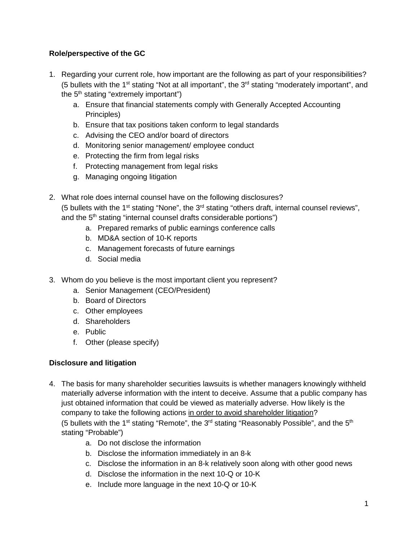## **Role/perspective of the GC**

- 1. Regarding your current role, how important are the following as part of your responsibilities? (5 bullets with the 1<sup>st</sup> stating "Not at all important", the  $3<sup>rd</sup>$  stating "moderately important", and the  $5<sup>th</sup>$  stating "extremely important")
	- a. Ensure that financial statements comply with Generally Accepted Accounting Principles)
	- b. Ensure that tax positions taken conform to legal standards
	- c. Advising the CEO and/or board of directors
	- d. Monitoring senior management/ employee conduct
	- e. Protecting the firm from legal risks
	- f. Protecting management from legal risks
	- g. Managing ongoing litigation
- 2. What role does internal counsel have on the following disclosures? (5 bullets with the 1<sup>st</sup> stating "None", the  $3<sup>rd</sup>$  stating "others draft, internal counsel reviews", and the 5<sup>th</sup> stating "internal counsel drafts considerable portions")
	- a. Prepared remarks of public earnings conference calls
	- b. MD&A section of 10-K reports
	- c. Management forecasts of future earnings
	- d. Social media
- 3. Whom do you believe is the most important client you represent?
	- a. Senior Management (CEO/President)
	- b. Board of Directors
	- c. Other employees
	- d. Shareholders
	- e. Public
	- f. Other (please specify)

## **Disclosure and litigation**

- 4. The basis for many shareholder securities lawsuits is whether managers knowingly withheld materially adverse information with the intent to deceive. Assume that a public company has just obtained information that could be viewed as materially adverse. How likely is the company to take the following actions in order to avoid shareholder litigation? (5 bullets with the 1<sup>st</sup> stating "Remote", the 3<sup>rd</sup> stating "Reasonably Possible", and the 5<sup>th</sup> stating "Probable")
	- a. Do not disclose the information
	- b. Disclose the information immediately in an 8-k
	- c. Disclose the information in an 8-k relatively soon along with other good news
	- d. Disclose the information in the next 10-Q or 10-K
	- e. Include more language in the next 10-Q or 10-K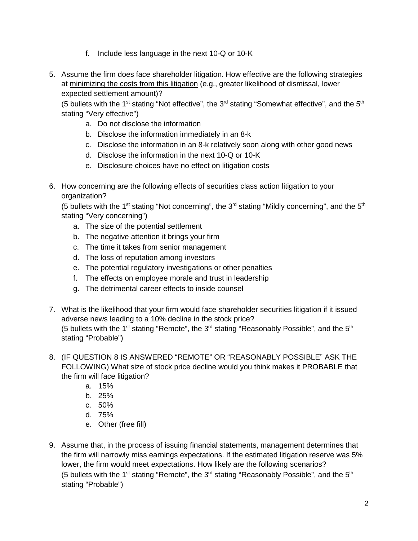- f. Include less language in the next 10-Q or 10-K
- 5. Assume the firm does face shareholder litigation. How effective are the following strategies at minimizing the costs from this litigation (e.g., greater likelihood of dismissal, lower expected settlement amount)?

(5 bullets with the 1<sup>st</sup> stating "Not effective", the 3<sup>rd</sup> stating "Somewhat effective", and the 5<sup>th</sup> stating "Very effective")

- a. Do not disclose the information
- b. Disclose the information immediately in an 8-k
- c. Disclose the information in an 8-k relatively soon along with other good news
- d. Disclose the information in the next 10-Q or 10-K
- e. Disclosure choices have no effect on litigation costs
- 6. How concerning are the following effects of securities class action litigation to your organization?

(5 bullets with the 1<sup>st</sup> stating "Not concerning", the 3<sup>rd</sup> stating "Mildly concerning", and the 5<sup>th</sup> stating "Very concerning")

- a. The size of the potential settlement
- b. The negative attention it brings your firm
- c. The time it takes from senior management
- d. The loss of reputation among investors
- e. The potential regulatory investigations or other penalties
- f. The effects on employee morale and trust in leadership
- g. The detrimental career effects to inside counsel
- 7. What is the likelihood that your firm would face shareholder securities litigation if it issued adverse news leading to a 10% decline in the stock price? (5 bullets with the 1<sup>st</sup> stating "Remote", the 3<sup>rd</sup> stating "Reasonably Possible", and the 5<sup>th</sup> stating "Probable")
- 8. (IF QUESTION 8 IS ANSWERED "REMOTE" OR "REASONABLY POSSIBLE" ASK THE FOLLOWING) What size of stock price decline would you think makes it PROBABLE that the firm will face litigation?
	- a. 15%
	- b. 25%
	- c. 50%
	- d. 75%
	- e. Other (free fill)
- 9. Assume that, in the process of issuing financial statements, management determines that the firm will narrowly miss earnings expectations. If the estimated litigation reserve was 5% lower, the firm would meet expectations. How likely are the following scenarios? (5 bullets with the 1<sup>st</sup> stating "Remote", the 3<sup>rd</sup> stating "Reasonably Possible", and the 5<sup>th</sup> stating "Probable")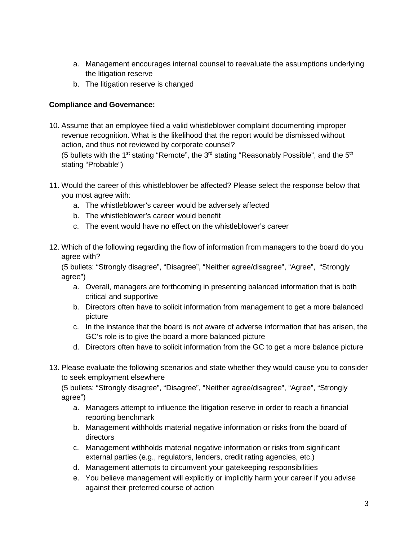- a. Management encourages internal counsel to reevaluate the assumptions underlying the litigation reserve
- b. The litigation reserve is changed

## **Compliance and Governance:**

10. Assume that an employee filed a valid whistleblower complaint documenting improper revenue recognition. What is the likelihood that the report would be dismissed without action, and thus not reviewed by corporate counsel?

(5 bullets with the 1<sup>st</sup> stating "Remote", the 3<sup>rd</sup> stating "Reasonably Possible", and the 5<sup>th</sup> stating "Probable")

- 11. Would the career of this whistleblower be affected? Please select the response below that you most agree with:
	- a. The whistleblower's career would be adversely affected
	- b. The whistleblower's career would benefit
	- c. The event would have no effect on the whistleblower's career
- 12. Which of the following regarding the flow of information from managers to the board do you agree with?

(5 bullets: "Strongly disagree", "Disagree", "Neither agree/disagree", "Agree", "Strongly agree")

- a. Overall, managers are forthcoming in presenting balanced information that is both critical and supportive
- b. Directors often have to solicit information from management to get a more balanced picture
- c. In the instance that the board is not aware of adverse information that has arisen, the GC's role is to give the board a more balanced picture
- d. Directors often have to solicit information from the GC to get a more balance picture
- 13. Please evaluate the following scenarios and state whether they would cause you to consider to seek employment elsewhere

(5 bullets: "Strongly disagree", "Disagree", "Neither agree/disagree", "Agree", "Strongly agree")

- a. Managers attempt to influence the litigation reserve in order to reach a financial reporting benchmark
- b. Management withholds material negative information or risks from the board of directors
- c. Management withholds material negative information or risks from significant external parties (e.g., regulators, lenders, credit rating agencies, etc.)
- d. Management attempts to circumvent your gatekeeping responsibilities
- e. You believe management will explicitly or implicitly harm your career if you advise against their preferred course of action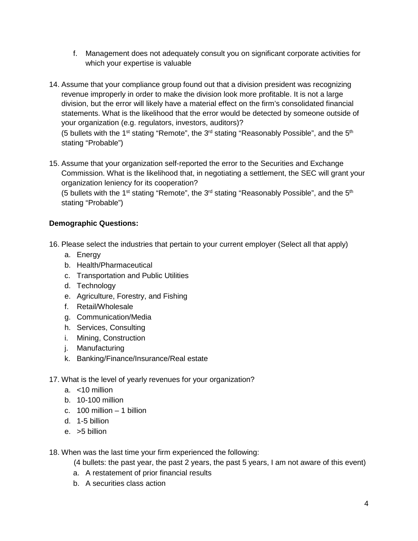- f. Management does not adequately consult you on significant corporate activities for which your expertise is valuable
- 14. Assume that your compliance group found out that a division president was recognizing revenue improperly in order to make the division look more profitable. It is not a large division, but the error will likely have a material effect on the firm's consolidated financial statements. What is the likelihood that the error would be detected by someone outside of your organization (e.g. regulators, investors, auditors)?

(5 bullets with the 1<sup>st</sup> stating "Remote", the 3<sup>rd</sup> stating "Reasonably Possible", and the 5<sup>th</sup> stating "Probable")

15. Assume that your organization self-reported the error to the Securities and Exchange Commission. What is the likelihood that, in negotiating a settlement, the SEC will grant your organization leniency for its cooperation?

(5 bullets with the 1<sup>st</sup> stating "Remote", the 3<sup>rd</sup> stating "Reasonably Possible", and the 5<sup>th</sup> stating "Probable")

## **Demographic Questions:**

- 16. Please select the industries that pertain to your current employer (Select all that apply)
	- a. Energy
	- b. Health/Pharmaceutical
	- c. Transportation and Public Utilities
	- d. Technology
	- e. Agriculture, Forestry, and Fishing
	- f. Retail/Wholesale
	- g. Communication/Media
	- h. Services, Consulting
	- i. Mining, Construction
	- j. Manufacturing
	- k. Banking/Finance/Insurance/Real estate
- 17. What is the level of yearly revenues for your organization?
	- a. <10 million
	- b. 10-100 million
	- c. 100 million 1 billion
	- d. 1-5 billion
	- e. >5 billion

18. When was the last time your firm experienced the following:

(4 bullets: the past year, the past 2 years, the past 5 years, I am not aware of this event)

- a. A restatement of prior financial results
- b. A securities class action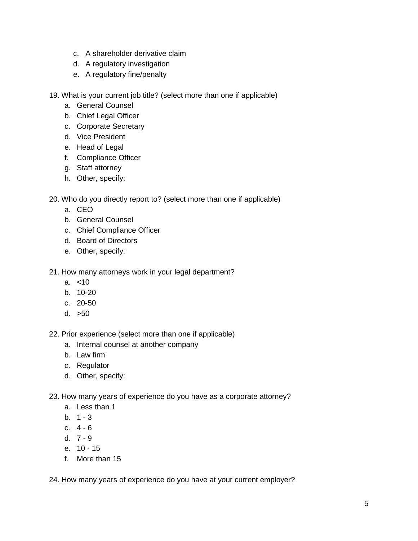- c. A shareholder derivative claim
- d. A regulatory investigation
- e. A regulatory fine/penalty

19. What is your current job title? (select more than one if applicable)

- a. General Counsel
- b. Chief Legal Officer
- c. Corporate Secretary
- d. Vice President
- e. Head of Legal
- f. Compliance Officer
- g. Staff attorney
- h. Other, specify:

20. Who do you directly report to? (select more than one if applicable)

- a. CEO
- b. General Counsel
- c. Chief Compliance Officer
- d. Board of Directors
- e. Other, specify:

21. How many attorneys work in your legal department?

- a. <10
- b. 10-20
- c. 20-50
- d. >50

22. Prior experience (select more than one if applicable)

- a. Internal counsel at another company
- b. Law firm
- c. Regulator
- d. Other, specify:
- 23. How many years of experience do you have as a corporate attorney?
	- a. Less than 1
	- b.  $1 3$
	- c. 4 6
	- d. 7 9
	- e. 10 15
	- f. More than 15

24. How many years of experience do you have at your current employer?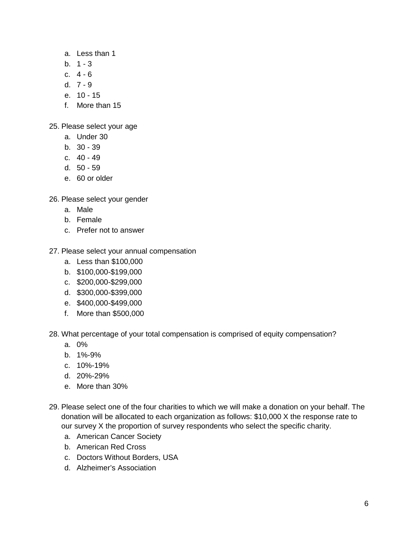- a. Less than 1
- b.  $1 3$
- c. 4 6
- d. 7 9
- e. 10 15
- f. More than 15

25. Please select your age

- a. Under 30
- b. 30 39
- c. 40 49
- d. 50 59
- e. 60 or older

26. Please select your gender

- a. Male
- b. Female
- c. Prefer not to answer
- 27. Please select your annual compensation
	- a. Less than \$100,000
	- b. \$100,000-\$199,000
	- c. \$200,000-\$299,000
	- d. \$300,000-\$399,000
	- e. \$400,000-\$499,000
	- f. More than \$500,000

28. What percentage of your total compensation is comprised of equity compensation?

- a. 0%
- b. 1%-9%
- c. 10%-19%
- d. 20%-29%
- e. More than 30%
- 29. Please select one of the four charities to which we will make a donation on your behalf. The donation will be allocated to each organization as follows: \$10,000 X the response rate to our survey X the proportion of survey respondents who select the specific charity.
	- a. American Cancer Society
	- b. American Red Cross
	- c. Doctors Without Borders, USA
	- d. Alzheimer's Association